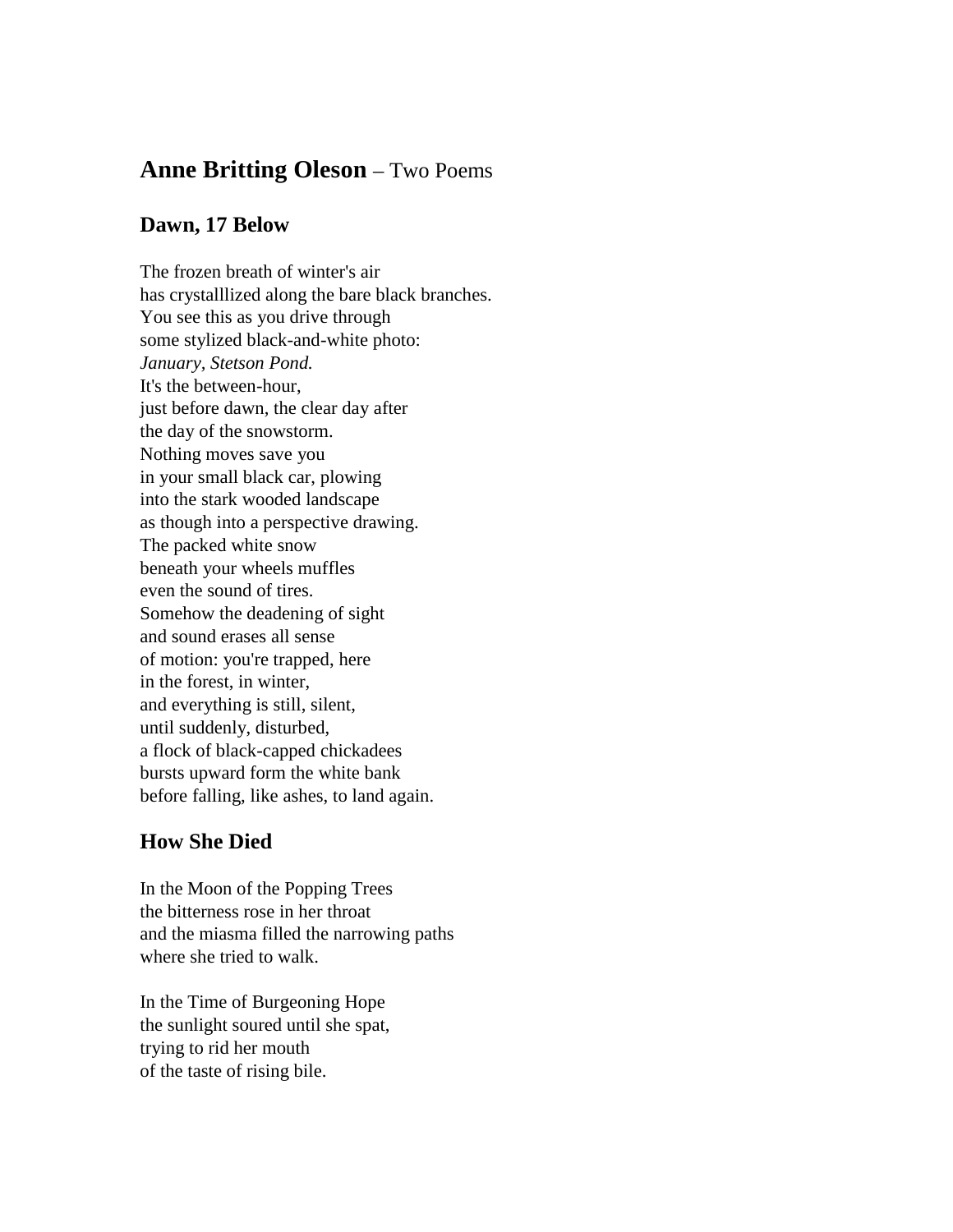## **Anne Britting Oleson** – Two Poems

## **Dawn, 17 Below**

The frozen breath of winter's air has crystalllized along the bare black branches. You see this as you drive through some stylized black-and-white photo: *January, Stetson Pond.* It's the between-hour, just before dawn, the clear day after the day of the snowstorm. Nothing moves save you in your small black car, plowing into the stark wooded landscape as though into a perspective drawing. The packed white snow beneath your wheels muffles even the sound of tires. Somehow the deadening of sight and sound erases all sense of motion: you're trapped, here in the forest, in winter, and everything is still, silent, until suddenly, disturbed, a flock of black-capped chickadees bursts upward form the white bank before falling, like ashes, to land again.

## **How She Died**

In the Moon of the Popping Trees the bitterness rose in her throat and the miasma filled the narrowing paths where she tried to walk.

In the Time of Burgeoning Hope the sunlight soured until she spat, trying to rid her mouth of the taste of rising bile.